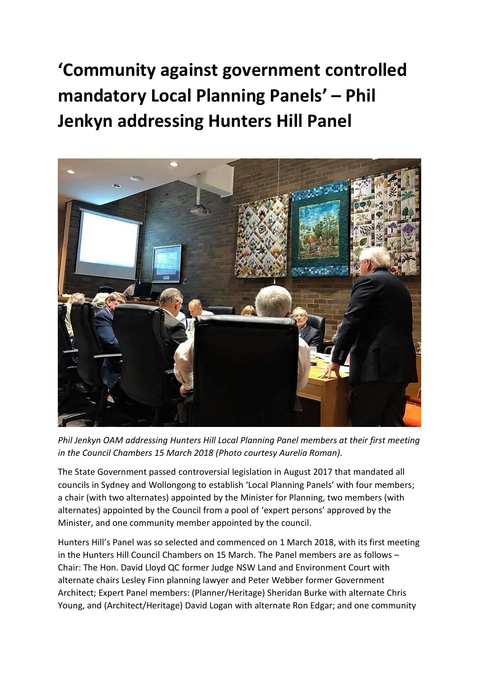**'Community against government controlled mandatory Local Planning Panels' – Phil Jenkyn addressing Hunters Hill Panel** 



*Phil Jenkyn OAM addressing Hunters Hill Local Planning Panel members at their first meeting in the Council Chambers 15 March 2018 (Photo courtesy Aurelia Roman).*

The State Government passed controversial legislation in August 2017 that mandated all councils in Sydney and Wollongong to establish 'Local Planning Panels' with four members; a chair (with two alternates) appointed by the Minister for Planning, two members (with alternates) appointed by the Council from a pool of 'expert persons' approved by the Minister, and one community member appointed by the council.

Hunters Hill's Panel was so selected and commenced on 1 March 2018, with its first meeting in the Hunters Hill Council Chambers on 15 March. The Panel members are as follows – Chair: The Hon. David Lloyd QC former Judge NSW Land and Environment Court with alternate chairs Lesley Finn planning lawyer and Peter Webber former Government Architect; Expert Panel members: (Planner/Heritage) Sheridan Burke with alternate Chris Young, and (Architect/Heritage) David Logan with alternate Ron Edgar; and one community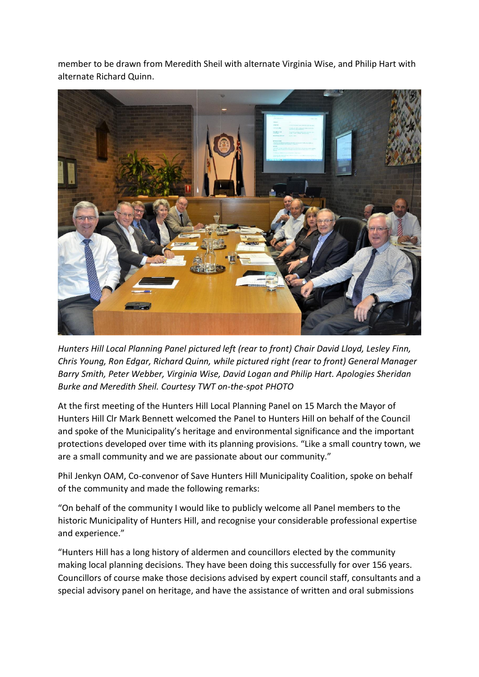member to be drawn from Meredith Sheil with alternate Virginia Wise, and Philip Hart with alternate Richard Quinn.



*Hunters Hill Local Planning Panel pictured left (rear to front) Chair David Lloyd, Lesley Finn, Chris Young, Ron Edgar, Richard Quinn, while pictured right (rear to front) General Manager Barry Smith, Peter Webber, Virginia Wise, David Logan and Philip Hart. Apologies Sheridan Burke and Meredith Sheil. Courtesy TWT on-the-spot PHOTO*

At the first meeting of the Hunters Hill Local Planning Panel on 15 March the Mayor of Hunters Hill Clr Mark Bennett welcomed the Panel to Hunters Hill on behalf of the Council and spoke of the Municipality's heritage and environmental significance and the important protections developed over time with its planning provisions. "Like a small country town, we are a small community and we are passionate about our community."

Phil Jenkyn OAM, Co-convenor of Save Hunters Hill Municipality Coalition, spoke on behalf of the community and made the following remarks:

"On behalf of the community I would like to publicly welcome all Panel members to the historic Municipality of Hunters Hill, and recognise your considerable professional expertise and experience."

"Hunters Hill has a long history of aldermen and councillors elected by the community making local planning decisions. They have been doing this successfully for over 156 years. Councillors of course make those decisions advised by expert council staff, consultants and a special advisory panel on heritage, and have the assistance of written and oral submissions